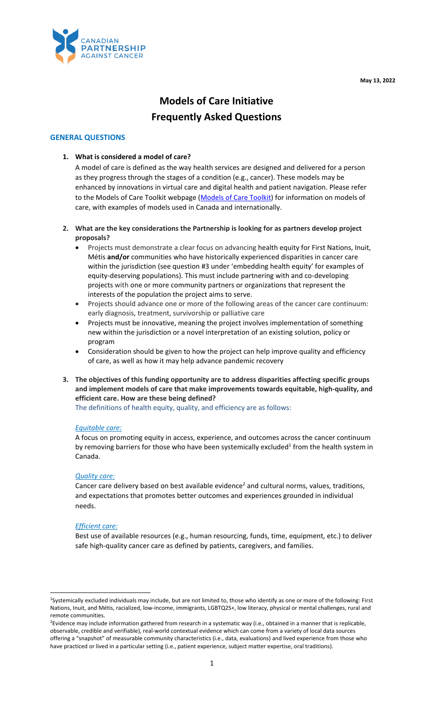**May 13, 2022**



# **Models of Care Initiative Frequently Asked Questions**

## **GENERAL QUESTIONS**

## **1. What is considered a model of care?**

A model of care is defined as the way health services are designed and delivered for a person as they progress through the stages of a condition (e.g., cancer). These models may be enhanced by innovations in virtual care and digital health and patient navigation. Please refer to the Models of Care Toolkit webpage [\(Models of Care Toolkit\)](https://partnershipagainstcancer.sharepoint.com/sites/ModelsofCareImplementation-Internal/Shared%20Documents/General/Cross-Functional%20Resources/Partner%20Engagement%20Tools%20and%20Resources/FAQ/Models%20of%20Care%20Toolkit) for information on models of care, with examples of models used in Canada and internationally.

- **2. What are the key considerations the Partnership is looking for as partners develop project proposals?**
	- Projects must demonstrate a clear focus on advancing health equity for First Nations, Inuit, Métis **and/or** communities who have historically experienced disparities in cancer care within the jurisdiction (see question #3 under 'embedding health equity' for examples of equity-deserving populations). This must include partnering with and co-developing projects with one or more community partners or organizations that represent the interests of the population the project aims to serve.
	- Projects should advance one or more of the following areas of the cancer care continuum: early diagnosis, treatment, survivorship or palliative care
	- Projects must be innovative, meaning the project involves implementation of something new within the jurisdiction or a novel interpretation of an existing solution, policy or program
	- Consideration should be given to how the project can help improve quality and efficiency of care, as well as how it may help advance pandemic recovery
- **3. The objectives of this funding opportunity are to address disparities affecting specific groups and implement models of care that make improvements towards equitable, high-quality, and efficient care. How are these being defined?**

The definitions of health equity, quality, and efficiency are as follows:

#### *Equitable care:*

A focus on promoting equity in access, experience, and outcomes across the cancer continuum by removing barriers for those who have been systemically excluded<sup>1</sup> from the health system in Canada.

#### *Quality care:*

Cancer care delivery based on best available evidence<sup>2</sup> and cultural norms, values, traditions, and expectations that promotes better outcomes and experiences grounded in individual needs.

#### *Efficient care:*

Best use of available resources (e.g., human resourcing, funds, time, equipment, etc.) to deliver safe high-quality cancer care as defined by patients, caregivers, and families.

<sup>1</sup>Systemically excluded individuals may include, but are not limited to, those who identify as one or more of the following: First Nations, Inuit, and Métis, racialized, low-income, immigrants, LGBTQ2S+, low literacy, physical or mental challenges, rural and remote communities.

<sup>&</sup>lt;sup>2</sup>Evidence may include information gathered from research in a systematic way (i.e., obtained in a manner that is replicable, observable, credible and verifiable), real-world contextual evidence which can come from a variety of local data sources offering a "snapshot" of measurable community characteristics (i.e., data, evaluations) and lived experience from those who have practiced or lived in a particular setting (i.e., patient experience, subject matter expertise, oral traditions).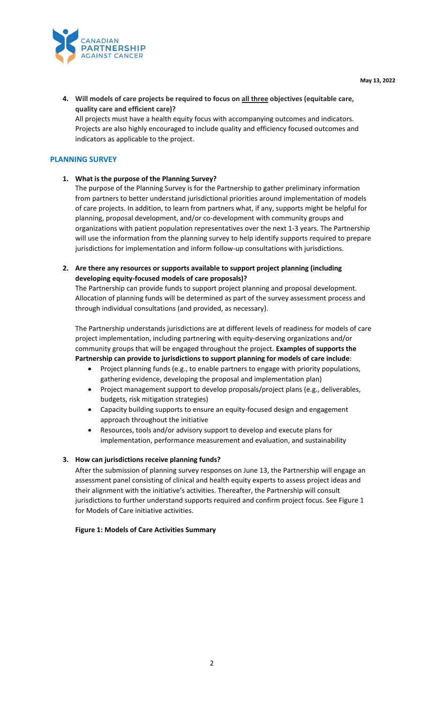

**4. Will models of care projects be required to focus on all three objectives (equitable care, quality care and efficient care)?**

All projects must have a health equity focus with accompanying outcomes and indicators. Projects are also highly encouraged to include quality and efficiency focused outcomes and indicators as applicable to the project.

## **PLANNING SURVEY**

## **1. What is the purpose of the Planning Survey?**

The purpose of the Planning Survey is for the Partnership to gather preliminary information from partners to better understand jurisdictional priorities around implementation of models of care projects. In addition, to learn from partners what, if any, supports might be helpful for planning, proposal development, and/or co-development with community groups and organizations with patient population representatives over the next 1-3 years. The Partnership will use the information from the planning survey to help identify supports required to prepare jurisdictions for implementation and inform follow-up consultations with jurisdictions.

**2. Are there any resources or supports available to support project planning (including developing equity-focused models of care proposals)?** 

The Partnership can provide funds to support project planning and proposal development. Allocation of planning funds will be determined as part of the survey assessment process and through individual consultations (and provided, as necessary).

The Partnership understands jurisdictions are at different levels of readiness for models of care project implementation, including partnering with equity-deserving organizations and/or community groups that will be engaged throughout the project. **Examples of supports the Partnership can provide to jurisdictions to support planning for models of care include**:

- Project planning funds (e.g., to enable partners to engage with priority populations, gathering evidence, developing the proposal and implementation plan)
- Project management support to develop proposals/project plans (e.g., deliverables, budgets, risk mitigation strategies)
- Capacity building supports to ensure an equity-focused design and engagement approach throughout the initiative
- Resources, tools and/or advisory support to develop and execute plans for implementation, performance measurement and evaluation, and sustainability

#### **3. How can jurisdictions receive planning funds?**

After the submission of planning survey responses on June 13, the Partnership will engage an assessment panel consisting of clinical and health equity experts to assess project ideas and their alignment with the initiative's activities. Thereafter, the Partnership will consult jurisdictions to further understand supports required and confirm project focus. See Figure 1 for Models of Care initiative activities.

#### **Figure 1: Models of Care Activities Summary**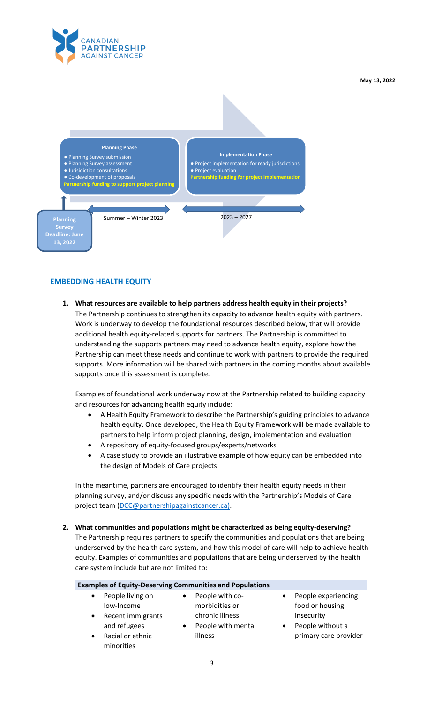

**May 13, 2022**



# **EMBEDDING HEALTH EQUITY**

**1. What resources are available to help partners address health equity in their projects?**  The Partnership continues to strengthen its capacity to advance health equity with partners. Work is underway to develop the foundational resources described below, that will provide

additional health equity-related supports for partners. The Partnership is committed to understanding the supports partners may need to advance health equity, explore how the Partnership can meet these needs and continue to work with partners to provide the required supports. More information will be shared with partners in the coming months about available supports once this assessment is complete.

Examples of foundational work underway now at the Partnership related to building capacity and resources for advancing health equity include:

- A Health Equity Framework to describe the Partnership's guiding principles to advance health equity. Once developed, the Health Equity Framework will be made available to partners to help inform project planning, design, implementation and evaluation
- A repository of equity-focused groups/experts/networks
- A case study to provide an illustrative example of how equity can be embedded into the design of Models of Care projects

In the meantime, partners are encouraged to identify their health equity needs in their planning survey, and/or discuss any specific needs with the Partnership's Models of Care project team [\(DCC@partnershipagainstcancer.ca\)](mailto:DCC@partnershipagainstcancer.ca).

**2. What communities and populations might be characterized as being equity-deserving?** The Partnership requires partners to specify the communities and populations that are being underserved by the health care system, and how this model of care will help to achieve health equity. Examples of communities and populations that are being underserved by the health care system include but are not limited to:

|                                                                                  | <b>Examples of Equity-Deserving Communities and Populations</b>                                      |                                                                                                    |
|----------------------------------------------------------------------------------|------------------------------------------------------------------------------------------------------|----------------------------------------------------------------------------------------------------|
| People living on<br>low-Income<br>Recent immigrants<br>$\bullet$<br>and refugees | People with co-<br>$\bullet$<br>morbidities or<br>chronic illness<br>People with mental<br>$\bullet$ | People experiencing<br>$\bullet$<br>food or housing<br>insecurity<br>People without a<br>$\bullet$ |
| Racial or ethnic<br>minorities                                                   | illness                                                                                              | primary care provider                                                                              |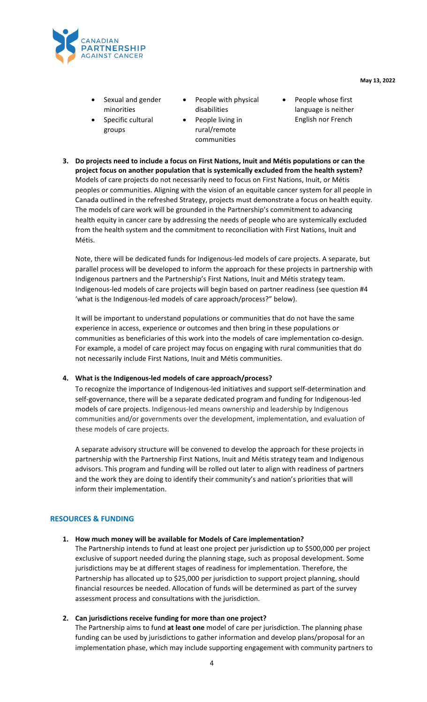

- Sexual and gender minorities
- Specific cultural groups
- People with physical disabilities
- People living in rural/remote communities
- People whose first language is neither English nor French
- **3. Do projects need to include a focus on First Nations, Inuit and Métis populations or can the project focus on another population that is systemically excluded from the health system?**  Models of care projects do not necessarily need to focus on First Nations, Inuit, or Métis peoples or communities. Aligning with the vision of an equitable cancer system for all people in Canada outlined in the refreshed Strategy, projects must demonstrate a focus on health equity. The models of care work will be grounded in the Partnership's commitment to advancing health equity in cancer care by addressing the needs of people who are systemically excluded from the health system and the commitment to reconciliation with First Nations, Inuit and Métis.

Note, there will be dedicated funds for Indigenous-led models of care projects. A separate, but parallel process will be developed to inform the approach for these projects in partnership with Indigenous partners and the Partnership's First Nations, Inuit and Métis strategy team. Indigenous-led models of care projects will begin based on partner readiness (see question #4 'what is the Indigenous-led models of care approach/process?" below).

It will be important to understand populations or communities that do not have the same experience in access, experience or outcomes and then bring in these populations or communities as beneficiaries of this work into the models of care implementation co-design. For example, a model of care project may focus on engaging with rural communities that do not necessarily include First Nations, Inuit and Métis communities.

# **4. What is the Indigenous-led models of care approach/process?**

To recognize the importance of Indigenous-led initiatives and support self-determination and self-governance, there will be a separate dedicated program and funding for Indigenous-led models of care projects. Indigenous-led means ownership and leadership by Indigenous communities and/or governments over the development, implementation, and evaluation of these models of care projects.

A separate advisory structure will be convened to develop the approach for these projects in partnership with the Partnership First Nations, Inuit and Métis strategy team and Indigenous advisors. This program and funding will be rolled out later to align with readiness of partners and the work they are doing to identify their community's and nation's priorities that will inform their implementation.

# **RESOURCES & FUNDING**

#### **1. How much money will be available for Models of Care implementation?**

The Partnership intends to fund at least one project per jurisdiction up to \$500,000 per project exclusive of support needed during the planning stage, such as proposal development. Some jurisdictions may be at different stages of readiness for implementation. Therefore, the Partnership has allocated up to \$25,000 per jurisdiction to support project planning, should financial resources be needed. Allocation of funds will be determined as part of the survey assessment process and consultations with the jurisdiction.

#### **2. Can jurisdictions receive funding for more than one project?**

The Partnership aims to fund **at least one** model of care per jurisdiction. The planning phase funding can be used by jurisdictions to gather information and develop plans/proposal for an implementation phase, which may include supporting engagement with community partners to

4

**May 13, 2022**